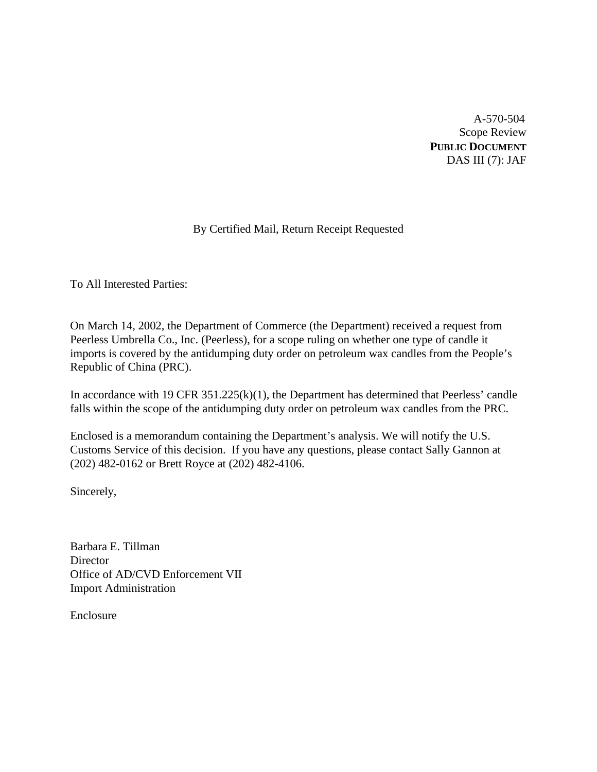A-570-504 Scope Review **PUBLIC DOCUMENT** DAS III (7): JAF

# By Certified Mail, Return Receipt Requested

To All Interested Parties:

On March 14, 2002, the Department of Commerce (the Department) received a request from Peerless Umbrella Co., Inc. (Peerless), for a scope ruling on whether one type of candle it imports is covered by the antidumping duty order on petroleum wax candles from the People's Republic of China (PRC).

In accordance with 19 CFR 351.225(k)(1), the Department has determined that Peerless' candle falls within the scope of the antidumping duty order on petroleum wax candles from the PRC.

Enclosed is a memorandum containing the Department's analysis. We will notify the U.S. Customs Service of this decision. If you have any questions, please contact Sally Gannon at (202) 482-0162 or Brett Royce at (202) 482-4106.

Sincerely,

Barbara E. Tillman **Director** Office of AD/CVD Enforcement VII Import Administration

Enclosure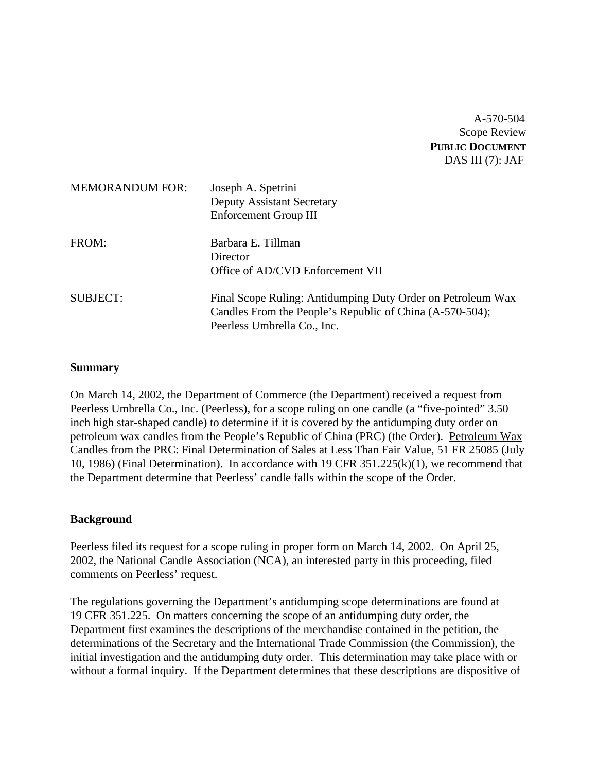A-570-504 Scope Review **PUBLIC DOCUMENT** DAS III (7): JAF

| <b>MEMORANDUM FOR:</b> | Joseph A. Spetrini<br><b>Deputy Assistant Secretary</b><br>Enforcement Group III                                                                       |
|------------------------|--------------------------------------------------------------------------------------------------------------------------------------------------------|
| FROM:                  | Barbara E. Tillman<br>Director<br>Office of AD/CVD Enforcement VII                                                                                     |
| <b>SUBJECT:</b>        | Final Scope Ruling: Antidumping Duty Order on Petroleum Wax<br>Candles From the People's Republic of China (A-570-504);<br>Peerless Umbrella Co., Inc. |

### **Summary**

On March 14, 2002, the Department of Commerce (the Department) received a request from Peerless Umbrella Co., Inc. (Peerless), for a scope ruling on one candle (a "five-pointed" 3.50 inch high star-shaped candle) to determine if it is covered by the antidumping duty order on petroleum wax candles from the People's Republic of China (PRC) (the Order). Petroleum Wax Candles from the PRC: Final Determination of Sales at Less Than Fair Value, 51 FR 25085 (July 10, 1986) (Final Determination). In accordance with 19 CFR 351.225(k)(1), we recommend that the Department determine that Peerless' candle falls within the scope of the Order.

## **Background**

Peerless filed its request for a scope ruling in proper form on March 14, 2002. On April 25, 2002, the National Candle Association (NCA), an interested party in this proceeding, filed comments on Peerless' request.

The regulations governing the Department's antidumping scope determinations are found at 19 CFR 351.225. On matters concerning the scope of an antidumping duty order, the Department first examines the descriptions of the merchandise contained in the petition, the determinations of the Secretary and the International Trade Commission (the Commission), the initial investigation and the antidumping duty order. This determination may take place with or without a formal inquiry. If the Department determines that these descriptions are dispositive of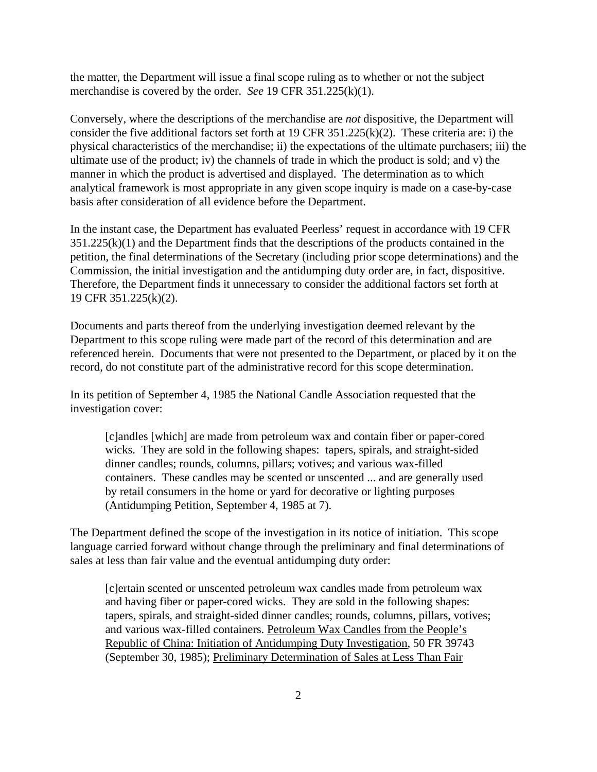the matter, the Department will issue a final scope ruling as to whether or not the subject merchandise is covered by the order. *See* 19 CFR 351.225(k)(1).

Conversely, where the descriptions of the merchandise are *not* dispositive, the Department will consider the five additional factors set forth at 19 CFR 351.225(k)(2). These criteria are: i) the physical characteristics of the merchandise; ii) the expectations of the ultimate purchasers; iii) the ultimate use of the product; iv) the channels of trade in which the product is sold; and v) the manner in which the product is advertised and displayed. The determination as to which analytical framework is most appropriate in any given scope inquiry is made on a case-by-case basis after consideration of all evidence before the Department.

In the instant case, the Department has evaluated Peerless' request in accordance with 19 CFR  $351.225(k)(1)$  and the Department finds that the descriptions of the products contained in the petition, the final determinations of the Secretary (including prior scope determinations) and the Commission, the initial investigation and the antidumping duty order are, in fact, dispositive. Therefore, the Department finds it unnecessary to consider the additional factors set forth at 19 CFR 351.225(k)(2).

Documents and parts thereof from the underlying investigation deemed relevant by the Department to this scope ruling were made part of the record of this determination and are referenced herein. Documents that were not presented to the Department, or placed by it on the record, do not constitute part of the administrative record for this scope determination.

In its petition of September 4, 1985 the National Candle Association requested that the investigation cover:

[c]andles [which] are made from petroleum wax and contain fiber or paper-cored wicks. They are sold in the following shapes: tapers, spirals, and straight-sided dinner candles; rounds, columns, pillars; votives; and various wax-filled containers. These candles may be scented or unscented ... and are generally used by retail consumers in the home or yard for decorative or lighting purposes (Antidumping Petition, September 4, 1985 at 7).

The Department defined the scope of the investigation in its notice of initiation. This scope language carried forward without change through the preliminary and final determinations of sales at less than fair value and the eventual antidumping duty order:

[c]ertain scented or unscented petroleum wax candles made from petroleum wax and having fiber or paper-cored wicks. They are sold in the following shapes: tapers, spirals, and straight-sided dinner candles; rounds, columns, pillars, votives; and various wax-filled containers. Petroleum Wax Candles from the People's Republic of China: Initiation of Antidumping Duty Investigation, 50 FR 39743 (September 30, 1985); Preliminary Determination of Sales at Less Than Fair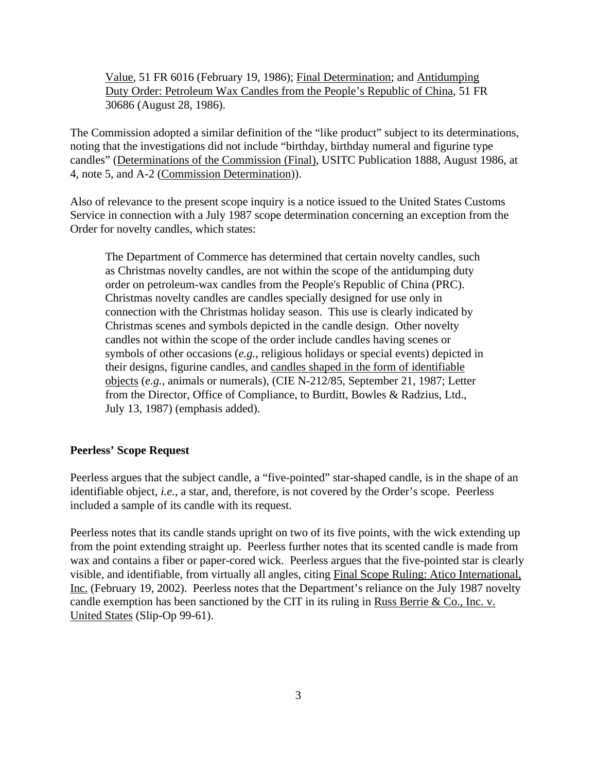Value, 51 FR 6016 (February 19, 1986); Final Determination; and Antidumping Duty Order: Petroleum Wax Candles from the People's Republic of China, 51 FR 30686 (August 28, 1986).

The Commission adopted a similar definition of the "like product" subject to its determinations, noting that the investigations did not include "birthday, birthday numeral and figurine type candles" (Determinations of the Commission (Final), USITC Publication 1888, August 1986, at 4, note 5, and A-2 (Commission Determination)).

Also of relevance to the present scope inquiry is a notice issued to the United States Customs Service in connection with a July 1987 scope determination concerning an exception from the Order for novelty candles, which states:

The Department of Commerce has determined that certain novelty candles, such as Christmas novelty candles, are not within the scope of the antidumping duty order on petroleum-wax candles from the People's Republic of China (PRC). Christmas novelty candles are candles specially designed for use only in connection with the Christmas holiday season. This use is clearly indicated by Christmas scenes and symbols depicted in the candle design. Other novelty candles not within the scope of the order include candles having scenes or symbols of other occasions (*e.g.*, religious holidays or special events) depicted in their designs, figurine candles, and candles shaped in the form of identifiable objects (*e.g.*, animals or numerals), (CIE N-212/85, September 21, 1987; Letter from the Director, Office of Compliance, to Burditt, Bowles & Radzius, Ltd., July 13, 1987) (emphasis added).

### **Peerless' Scope Request**

Peerless argues that the subject candle, a "five-pointed" star-shaped candle, is in the shape of an identifiable object, *i.e.*, a star, and, therefore, is not covered by the Order's scope. Peerless included a sample of its candle with its request.

Peerless notes that its candle stands upright on two of its five points, with the wick extending up from the point extending straight up. Peerless further notes that its scented candle is made from wax and contains a fiber or paper-cored wick. Peerless argues that the five-pointed star is clearly visible, and identifiable, from virtually all angles, citing Final Scope Ruling: Atico International, Inc. (February 19, 2002). Peerless notes that the Department's reliance on the July 1987 novelty candle exemption has been sanctioned by the CIT in its ruling in Russ Berrie & Co., Inc. v. United States (Slip-Op 99-61).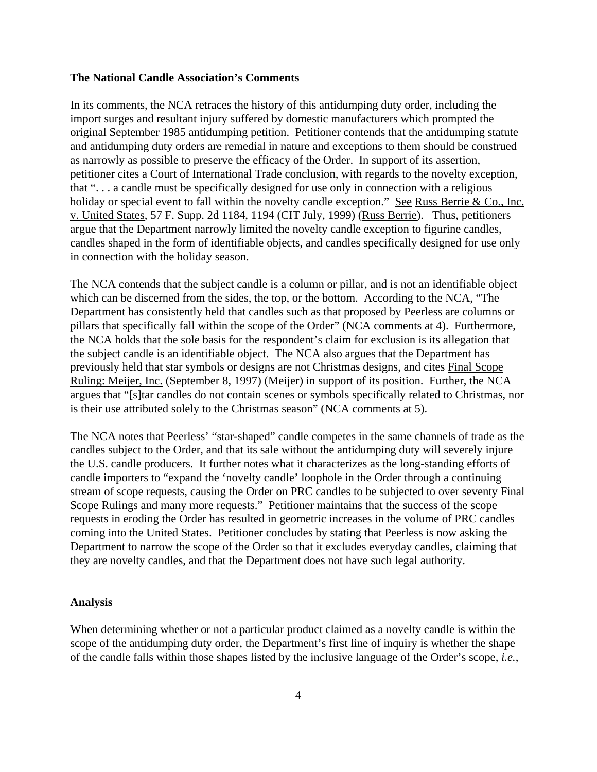## **The National Candle Association's Comments**

In its comments, the NCA retraces the history of this antidumping duty order, including the import surges and resultant injury suffered by domestic manufacturers which prompted the original September 1985 antidumping petition. Petitioner contends that the antidumping statute and antidumping duty orders are remedial in nature and exceptions to them should be construed as narrowly as possible to preserve the efficacy of the Order. In support of its assertion, petitioner cites a Court of International Trade conclusion, with regards to the novelty exception, that ". . . a candle must be specifically designed for use only in connection with a religious holiday or special event to fall within the novelty candle exception." See Russ Berrie & Co., Inc. v. United States, 57 F. Supp. 2d 1184, 1194 (CIT July, 1999) (Russ Berrie). Thus, petitioners argue that the Department narrowly limited the novelty candle exception to figurine candles, candles shaped in the form of identifiable objects, and candles specifically designed for use only in connection with the holiday season.

The NCA contends that the subject candle is a column or pillar, and is not an identifiable object which can be discerned from the sides, the top, or the bottom. According to the NCA, "The Department has consistently held that candles such as that proposed by Peerless are columns or pillars that specifically fall within the scope of the Order" (NCA comments at 4). Furthermore, the NCA holds that the sole basis for the respondent's claim for exclusion is its allegation that the subject candle is an identifiable object. The NCA also argues that the Department has previously held that star symbols or designs are not Christmas designs, and cites Final Scope Ruling: Meijer, Inc. (September 8, 1997) (Meijer) in support of its position. Further, the NCA argues that "[s]tar candles do not contain scenes or symbols specifically related to Christmas, nor is their use attributed solely to the Christmas season" (NCA comments at 5).

The NCA notes that Peerless' "star-shaped" candle competes in the same channels of trade as the candles subject to the Order, and that its sale without the antidumping duty will severely injure the U.S. candle producers. It further notes what it characterizes as the long-standing efforts of candle importers to "expand the 'novelty candle' loophole in the Order through a continuing stream of scope requests, causing the Order on PRC candles to be subjected to over seventy Final Scope Rulings and many more requests." Petitioner maintains that the success of the scope requests in eroding the Order has resulted in geometric increases in the volume of PRC candles coming into the United States. Petitioner concludes by stating that Peerless is now asking the Department to narrow the scope of the Order so that it excludes everyday candles, claiming that they are novelty candles, and that the Department does not have such legal authority.

#### **Analysis**

When determining whether or not a particular product claimed as a novelty candle is within the scope of the antidumping duty order, the Department's first line of inquiry is whether the shape of the candle falls within those shapes listed by the inclusive language of the Order's scope, *i.e.*,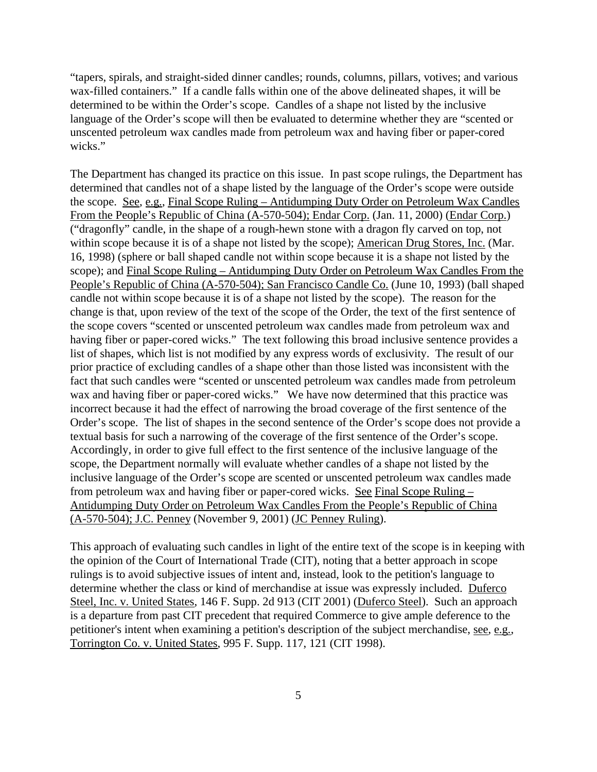"tapers, spirals, and straight-sided dinner candles; rounds, columns, pillars, votives; and various wax-filled containers." If a candle falls within one of the above delineated shapes, it will be determined to be within the Order's scope. Candles of a shape not listed by the inclusive language of the Order's scope will then be evaluated to determine whether they are "scented or unscented petroleum wax candles made from petroleum wax and having fiber or paper-cored wicks."

The Department has changed its practice on this issue. In past scope rulings, the Department has determined that candles not of a shape listed by the language of the Order's scope were outside the scope. See, e.g., Final Scope Ruling – Antidumping Duty Order on Petroleum Wax Candles From the People's Republic of China (A-570-504); Endar Corp. (Jan. 11, 2000) (Endar Corp.) ("dragonfly" candle, in the shape of a rough-hewn stone with a dragon fly carved on top, not within scope because it is of a shape not listed by the scope); American Drug Stores, Inc. (Mar. 16, 1998) (sphere or ball shaped candle not within scope because it is a shape not listed by the scope); and Final Scope Ruling – Antidumping Duty Order on Petroleum Wax Candles From the People's Republic of China (A-570-504); San Francisco Candle Co. (June 10, 1993) (ball shaped candle not within scope because it is of a shape not listed by the scope). The reason for the change is that, upon review of the text of the scope of the Order, the text of the first sentence of the scope covers "scented or unscented petroleum wax candles made from petroleum wax and having fiber or paper-cored wicks." The text following this broad inclusive sentence provides a list of shapes, which list is not modified by any express words of exclusivity. The result of our prior practice of excluding candles of a shape other than those listed was inconsistent with the fact that such candles were "scented or unscented petroleum wax candles made from petroleum wax and having fiber or paper-cored wicks." We have now determined that this practice was incorrect because it had the effect of narrowing the broad coverage of the first sentence of the Order's scope. The list of shapes in the second sentence of the Order's scope does not provide a textual basis for such a narrowing of the coverage of the first sentence of the Order's scope. Accordingly, in order to give full effect to the first sentence of the inclusive language of the scope, the Department normally will evaluate whether candles of a shape not listed by the inclusive language of the Order's scope are scented or unscented petroleum wax candles made from petroleum wax and having fiber or paper-cored wicks. See Final Scope Ruling – Antidumping Duty Order on Petroleum Wax Candles From the People's Republic of China (A-570-504); J.C. Penney (November 9, 2001) (JC Penney Ruling).

This approach of evaluating such candles in light of the entire text of the scope is in keeping with the opinion of the Court of International Trade (CIT), noting that a better approach in scope rulings is to avoid subjective issues of intent and, instead, look to the petition's language to determine whether the class or kind of merchandise at issue was expressly included. Duferco Steel, Inc. v. United States, 146 F. Supp. 2d 913 (CIT 2001) (Duferco Steel). Such an approach is a departure from past CIT precedent that required Commerce to give ample deference to the petitioner's intent when examining a petition's description of the subject merchandise, see, e.g., Torrington Co. v. United States, 995 F. Supp. 117, 121 (CIT 1998).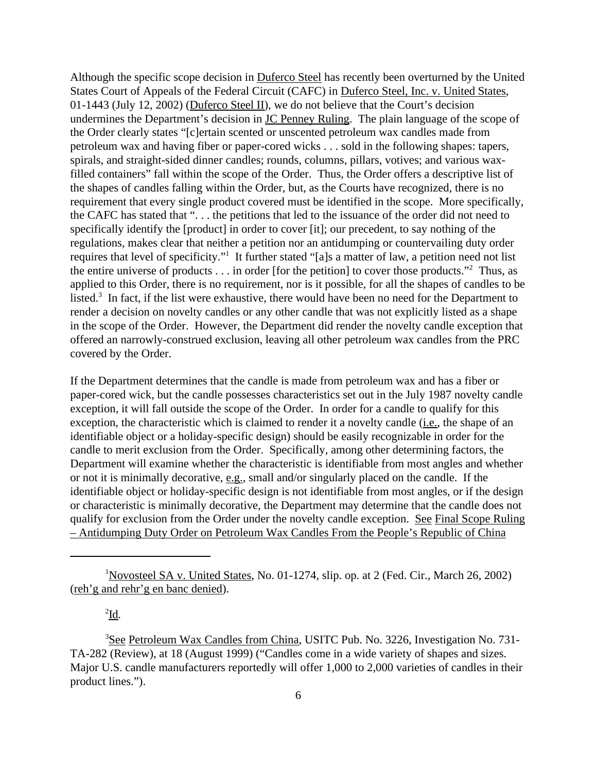Although the specific scope decision in Duferco Steel has recently been overturned by the United States Court of Appeals of the Federal Circuit (CAFC) in Duferco Steel, Inc. v. United States, 01-1443 (July 12, 2002) (Duferco Steel II), we do not believe that the Court's decision undermines the Department's decision in JC Penney Ruling. The plain language of the scope of the Order clearly states "[c]ertain scented or unscented petroleum wax candles made from petroleum wax and having fiber or paper-cored wicks . . . sold in the following shapes: tapers, spirals, and straight-sided dinner candles; rounds, columns, pillars, votives; and various waxfilled containers" fall within the scope of the Order. Thus, the Order offers a descriptive list of the shapes of candles falling within the Order, but, as the Courts have recognized, there is no requirement that every single product covered must be identified in the scope. More specifically, the CAFC has stated that ". . . the petitions that led to the issuance of the order did not need to specifically identify the [product] in order to cover [it]; our precedent, to say nothing of the regulations, makes clear that neither a petition nor an antidumping or countervailing duty order requires that level of specificity."<sup>1</sup> It further stated "[a]s a matter of law, a petition need not list the entire universe of products  $\dots$  in order [for the petition] to cover those products."<sup>2</sup> Thus, as applied to this Order, there is no requirement, nor is it possible, for all the shapes of candles to be listed.<sup>3</sup> In fact, if the list were exhaustive, there would have been no need for the Department to render a decision on novelty candles or any other candle that was not explicitly listed as a shape in the scope of the Order. However, the Department did render the novelty candle exception that offered an narrowly-construed exclusion, leaving all other petroleum wax candles from the PRC covered by the Order.

If the Department determines that the candle is made from petroleum wax and has a fiber or paper-cored wick, but the candle possesses characteristics set out in the July 1987 novelty candle exception, it will fall outside the scope of the Order. In order for a candle to qualify for this exception, the characteristic which is claimed to render it a novelty candle (*i.e.*, the shape of an identifiable object or a holiday-specific design) should be easily recognizable in order for the candle to merit exclusion from the Order. Specifically, among other determining factors, the Department will examine whether the characteristic is identifiable from most angles and whether or not it is minimally decorative, e.g., small and/or singularly placed on the candle. If the identifiable object or holiday-specific design is not identifiable from most angles, or if the design or characteristic is minimally decorative, the Department may determine that the candle does not qualify for exclusion from the Order under the novelty candle exception. See Final Scope Ruling – Antidumping Duty Order on Petroleum Wax Candles From the People's Republic of China

# 2 Id*.*

<sup>3</sup>See Petroleum Wax Candles from China, USITC Pub. No. 3226, Investigation No. 731- TA-282 (Review), at 18 (August 1999) ("Candles come in a wide variety of shapes and sizes. Major U.S. candle manufacturers reportedly will offer 1,000 to 2,000 varieties of candles in their product lines.").

<sup>1</sup>Novosteel SA v. United States, No. 01-1274, slip. op. at 2 (Fed. Cir., March 26, 2002) (reh'g and rehr'g en banc denied).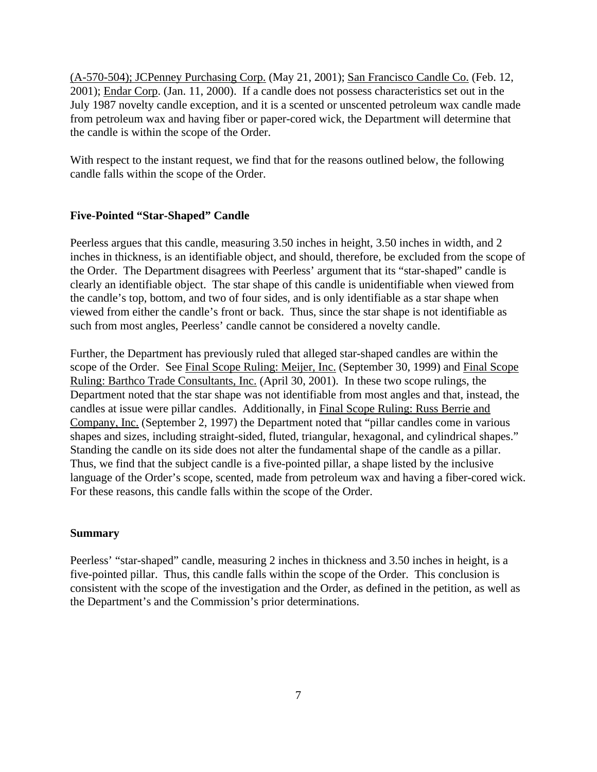(A-570-504); JCPenney Purchasing Corp. (May 21, 2001); San Francisco Candle Co. (Feb. 12, 2001); Endar Corp. (Jan. 11, 2000). If a candle does not possess characteristics set out in the July 1987 novelty candle exception, and it is a scented or unscented petroleum wax candle made from petroleum wax and having fiber or paper-cored wick, the Department will determine that the candle is within the scope of the Order.

With respect to the instant request, we find that for the reasons outlined below, the following candle falls within the scope of the Order.

# **Five-Pointed "Star-Shaped" Candle**

Peerless argues that this candle, measuring 3.50 inches in height, 3.50 inches in width, and 2 inches in thickness, is an identifiable object, and should, therefore, be excluded from the scope of the Order. The Department disagrees with Peerless' argument that its "star-shaped" candle is clearly an identifiable object. The star shape of this candle is unidentifiable when viewed from the candle's top, bottom, and two of four sides, and is only identifiable as a star shape when viewed from either the candle's front or back. Thus, since the star shape is not identifiable as such from most angles, Peerless' candle cannot be considered a novelty candle.

Further, the Department has previously ruled that alleged star-shaped candles are within the scope of the Order. See Final Scope Ruling: Meijer, Inc. (September 30, 1999) and Final Scope Ruling: Barthco Trade Consultants, Inc. (April 30, 2001). In these two scope rulings, the Department noted that the star shape was not identifiable from most angles and that, instead, the candles at issue were pillar candles. Additionally, in Final Scope Ruling: Russ Berrie and Company, Inc. (September 2, 1997) the Department noted that "pillar candles come in various shapes and sizes, including straight-sided, fluted, triangular, hexagonal, and cylindrical shapes." Standing the candle on its side does not alter the fundamental shape of the candle as a pillar. Thus, we find that the subject candle is a five-pointed pillar, a shape listed by the inclusive language of the Order's scope, scented, made from petroleum wax and having a fiber-cored wick. For these reasons, this candle falls within the scope of the Order.

## **Summary**

Peerless' "star-shaped" candle, measuring 2 inches in thickness and 3.50 inches in height, is a five-pointed pillar. Thus, this candle falls within the scope of the Order. This conclusion is consistent with the scope of the investigation and the Order, as defined in the petition, as well as the Department's and the Commission's prior determinations.